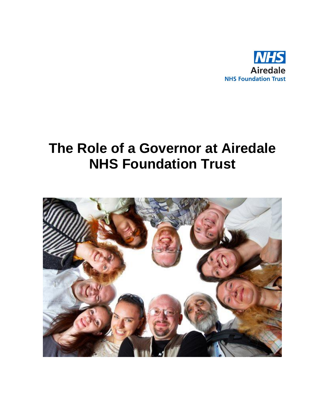

# **The Role of a Governor at Airedale NHS Foundation Trust**

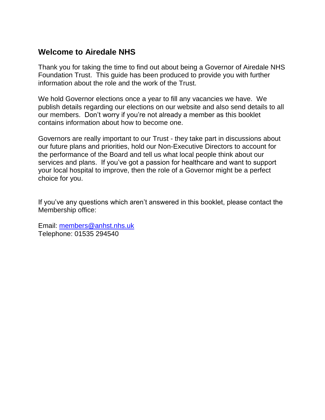## **Welcome to Airedale NHS**

Thank you for taking the time to find out about being a Governor of Airedale NHS Foundation Trust. This guide has been produced to provide you with further information about the role and the work of the Trust.

We hold Governor elections once a year to fill any vacancies we have. We publish details regarding our elections on our website and also send details to all our members. Don't worry if you're not already a member as this booklet contains information about how to become one.

Governors are really important to our Trust - they take part in discussions about our future plans and priorities, hold our Non-Executive Directors to account for the performance of the Board and tell us what local people think about our services and plans. If you've got a passion for healthcare and want to support your local hospital to improve, then the role of a Governor might be a perfect choice for you.

If you've any questions which aren't answered in this booklet, please contact the Membership office:

Email: [members@anhst.nhs.uk](mailto:members@anhst.nhs.uk) Telephone: 01535 294540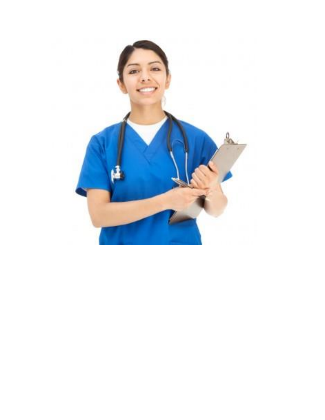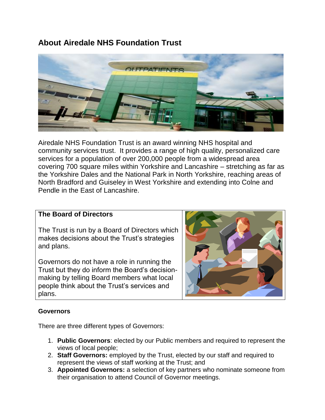# **About Airedale NHS Foundation Trust**



Airedale NHS Foundation Trust is an award winning NHS hospital and community services trust. It provides a range of high quality, personalized care services for a population of over 200,000 people from a widespread area covering 700 square miles within Yorkshire and Lancashire – stretching as far as the Yorkshire Dales and the National Park in North Yorkshire, reaching areas of North Bradford and Guiseley in West Yorkshire and extending into Colne and Pendle in the East of Lancashire.

## **The Board of Directors**

The Trust is run by a Board of Directors which makes decisions about the Trust's strategies and plans.

Governors do not have a role in running the Trust but they do inform the Board's decisionmaking by telling Board members what local people think about the Trust's services and plans.



#### **Governors**

There are three different types of Governors:

- 1. **Public Governors**: elected by our Public members and required to represent the views of local people;
- 2. **Staff Governors:** employed by the Trust, elected by our staff and required to represent the views of staff working at the Trust; and
- 3. **Appointed Governors:** a selection of key partners who nominate someone from their organisation to attend Council of Governor meetings.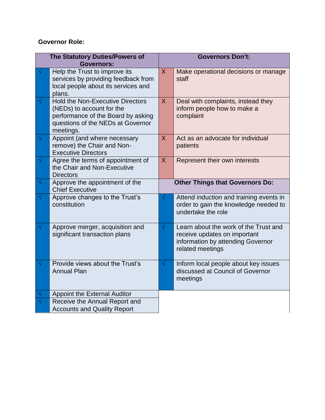## **Governor Role:**

| The Statutory Duties/Powers of<br><b>Governors:</b> |                                                                                                                                                              | <b>Governors Don't:</b> |                                                                                                                                |
|-----------------------------------------------------|--------------------------------------------------------------------------------------------------------------------------------------------------------------|-------------------------|--------------------------------------------------------------------------------------------------------------------------------|
|                                                     | Help the Trust to improve its<br>services by providing feedback from<br>local people about its services and<br>plans.                                        | $\overline{X}$          | Make operational decisions or manage<br>staff                                                                                  |
| $\sqrt{}$                                           | <b>Hold the Non-Executive Directors</b><br>(NEDs) to account for the<br>performance of the Board by asking<br>questions of the NEDs at Governor<br>meetings. | $\overline{X}$          | Deal with complaints, instead they<br>inform people how to make a<br>complaint                                                 |
| $\sqrt{}$                                           | Appoint (and where necessary<br>remove) the Chair and Non-<br><b>Executive Directors</b>                                                                     | $\sf X$                 | Act as an advocate for individual<br>patients                                                                                  |
| $\sqrt{}$                                           | Agree the terms of appointment of<br>the Chair and Non-Executive<br><b>Directors</b>                                                                         | $\overline{X}$          | Represent their own interests                                                                                                  |
| $\sqrt{}$                                           | Approve the appointment of the<br><b>Chief Executive</b>                                                                                                     |                         | <b>Other Things that Governors Do:</b>                                                                                         |
| $\sqrt{}$                                           | Approve changes to the Trust's<br>constitution                                                                                                               |                         | Attend induction and training events in<br>order to gain the knowledge needed to<br>undertake the role                         |
| $\sqrt{}$                                           | Approve merger, acquisition and<br>significant transaction plans                                                                                             | $\sqrt{}$               | Learn about the work of the Trust and<br>receive updates on important<br>information by attending Governor<br>related meetings |
| $\sqrt{}$                                           | Provide views about the Trust's<br><b>Annual Plan</b>                                                                                                        | √                       | Inform local people about key issues<br>discussed at Council of Governor<br>meetings                                           |
|                                                     | Appoint the External Auditor                                                                                                                                 |                         |                                                                                                                                |
|                                                     | Receive the Annual Report and<br><b>Accounts and Quality Report</b>                                                                                          |                         |                                                                                                                                |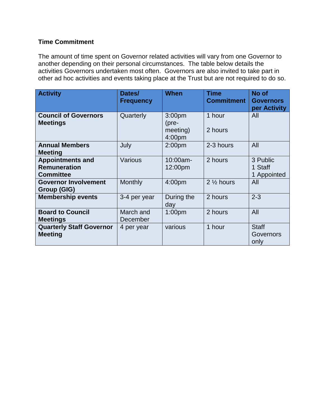#### **Time Commitment**

The amount of time spent on Governor related activities will vary from one Governor to another depending on their personal circumstances. The table below details the activities Governors undertaken most often. Governors are also invited to take part in other ad hoc activities and events taking place at the Trust but are not required to do so.

| <b>Activity</b>                                                    | Dates/<br><b>Frequency</b> | <b>When</b>                                               | <b>Time</b><br><b>Commitment</b> | No of<br><b>Governors</b><br>per Activity |
|--------------------------------------------------------------------|----------------------------|-----------------------------------------------------------|----------------------------------|-------------------------------------------|
| <b>Council of Governors</b><br><b>Meetings</b>                     | Quarterly                  | 3:00 <sub>pm</sub><br>$(\text{pre}$<br>meeting)<br>4:00pm | 1 hour<br>2 hours                | All                                       |
| <b>Annual Members</b><br><b>Meeting</b>                            | July                       | 2:00 <sub>pm</sub>                                        | 2-3 hours                        | All                                       |
| <b>Appointments and</b><br><b>Remuneration</b><br><b>Committee</b> | Various                    | $10:00am -$<br>12:00pm                                    | 2 hours                          | 3 Public<br>1 Staff<br>1 Appointed        |
| <b>Governor Involvement</b><br>Group (GIG)                         | Monthly                    | 4:00pm                                                    | $2\frac{1}{2}$ hours             | All                                       |
| <b>Membership events</b>                                           | 3-4 per year               | During the<br>day                                         | 2 hours                          | $2 - 3$                                   |
| <b>Board to Council</b><br><b>Meetings</b>                         | March and<br>December      | 1:00 <sub>pm</sub>                                        | 2 hours                          | All                                       |
| <b>Quarterly Staff Governor</b><br><b>Meeting</b>                  | 4 per year                 | various                                                   | 1 hour                           | <b>Staff</b><br>Governors<br>only         |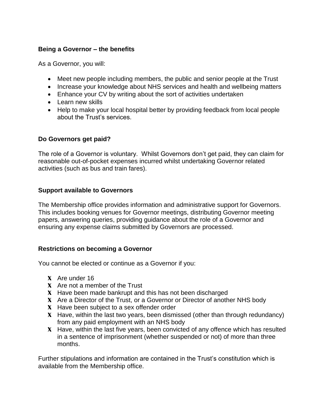#### **Being a Governor – the benefits**

As a Governor, you will:

- Meet new people including members, the public and senior people at the Trust
- Increase your knowledge about NHS services and health and wellbeing matters
- Enhance your CV by writing about the sort of activities undertaken
- Learn new skills
- Help to make your local hospital better by providing feedback from local people about the Trust's services.

#### **Do Governors get paid?**

The role of a Governor is voluntary. Whilst Governors don't get paid, they can claim for reasonable out-of-pocket expenses incurred whilst undertaking Governor related activities (such as bus and train fares).

#### **Support available to Governors**

The Membership office provides information and administrative support for Governors. This includes booking venues for Governor meetings, distributing Governor meeting papers, answering queries, providing guidance about the role of a Governor and ensuring any expense claims submitted by Governors are processed.

#### **Restrictions on becoming a Governor**

You cannot be elected or continue as a Governor if you:

- **X** Are under 16
- **X** Are not a member of the Trust
- **X** Have been made bankrupt and this has not been discharged
- **X** Are a Director of the Trust, or a Governor or Director of another NHS body
- **X** Have been subject to a sex offender order
- **X** Have, within the last two years, been dismissed (other than through redundancy) from any paid employment with an NHS body
- **X** Have, within the last five years, been convicted of any offence which has resulted in a sentence of imprisonment (whether suspended or not) of more than three months.

Further stipulations and information are contained in the Trust's constitution which is available from the Membership office.